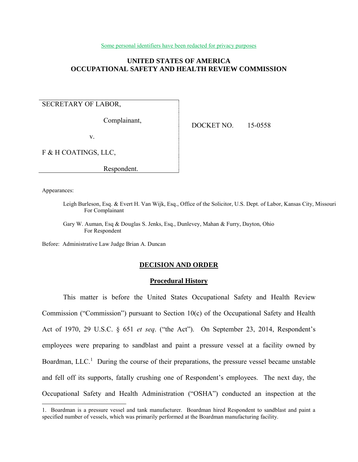Some personal identifiers have been redacted for privacy purposes

# **UNITED STATES OF AMERICA OCCUPATIONAL SAFETY AND HEALTH REVIEW COMMISSION**

# SECRETARY OF LABOR,

Complainant,

DOCKET NO. 15-0558

v.

F & H COATINGS, LLC,

Respondent.

Appearances:

 $\overline{a}$ 

Leigh Burleson, Esq. & Evert H. Van Wijk, Esq., Office of the Solicitor, U.S. Dept. of Labor, Kansas City, Missouri For Complainant

Gary W. Auman, Esq & Douglas S. Jenks, Esq., Dunlevey, Mahan & Furry, Dayton, Ohio For Respondent

Before: Administrative Law Judge Brian A. Duncan

#### **DECISION AND ORDER**

## **Procedural History**

This matter is before the United States Occupational Safety and Health Review Commission ("Commission") pursuant to Section 10(c) of the Occupational Safety and Health Act of 1970, 29 U.S.C. § 651 *et seq*. ("the Act"). On September 23, 2014, Respondent's employees were preparing to sandblast and paint a pressure vessel at a facility owned by Boardman, LLC.<sup>1</sup> During the course of their preparations, the pressure vessel became unstable and fell off its supports, fatally crushing one of Respondent's employees. The next day, the Occupational Safety and Health Administration ("OSHA") conducted an inspection at the

<sup>1.</sup> Boardman is a pressure vessel and tank manufacturer. Boardman hired Respondent to sandblast and paint a specified number of vessels, which was primarily performed at the Boardman manufacturing facility.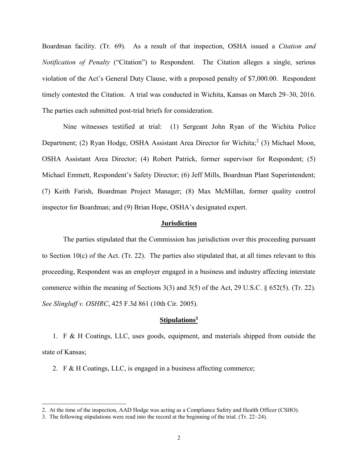Boardman facility. (Tr. 69). As a result of that inspection, OSHA issued a *Citation and Notification of Penalty* ("Citation") to Respondent. The Citation alleges a single, serious violation of the Act's General Duty Clause, with a proposed penalty of \$7,000.00. Respondent timely contested the Citation. A trial was conducted in Wichita, Kansas on March 29–30, 2016. The parties each submitted post-trial briefs for consideration.

Nine witnesses testified at trial: (1) Sergeant John Ryan of the Wichita Police Department; (2) Ryan Hodge, OSHA Assistant Area Director for Wichita;<sup>2</sup> (3) Michael Moon, OSHA Assistant Area Director; (4) Robert Patrick, former supervisor for Respondent; (5) Michael Emmett, Respondent's Safety Director; (6) Jeff Mills, Boardman Plant Superintendent; (7) Keith Farish, Boardman Project Manager; (8) Max McMillan, former quality control inspector for Boardman; and (9) Brian Hope, OSHA's designated expert.

## **Jurisdiction**

The parties stipulated that the Commission has jurisdiction over this proceeding pursuant to Section 10(c) of the Act. (Tr. 22). The parties also stipulated that, at all times relevant to this proceeding, Respondent was an employer engaged in a business and industry affecting interstate commerce within the meaning of Sections 3(3) and 3(5) of the Act, 29 U.S.C. § 652(5). (Tr. 22). *See Slingluff v. OSHRC*, 425 F.3d 861 (10th Cir. 2005).

#### **Stipulations<sup>3</sup>**

1. F & H Coatings, LLC, uses goods, equipment, and materials shipped from outside the state of Kansas;

2. F & H Coatings, LLC, is engaged in a business affecting commerce;

<sup>2.</sup> At the time of the inspection, AAD Hodge was acting as a Compliance Safety and Health Officer (CSHO).

<sup>3.</sup> The following stipulations were read into the record at the beginning of the trial. (Tr. 22–24).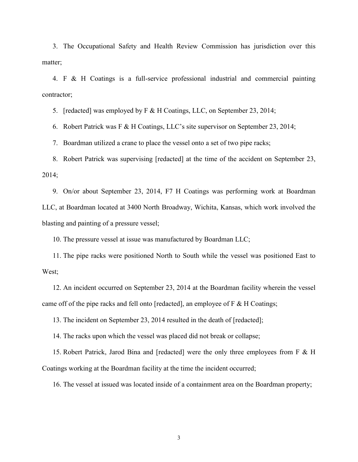3. The Occupational Safety and Health Review Commission has jurisdiction over this matter;

4. F & H Coatings is a full-service professional industrial and commercial painting contractor;

5. [redacted] was employed by F & H Coatings, LLC, on September 23, 2014;

6. Robert Patrick was F & H Coatings, LLC's site supervisor on September 23, 2014;

7. Boardman utilized a crane to place the vessel onto a set of two pipe racks;

8. Robert Patrick was supervising [redacted] at the time of the accident on September 23, 2014;

9. On/or about September 23, 2014, F7 H Coatings was performing work at Boardman LLC, at Boardman located at 3400 North Broadway, Wichita, Kansas, which work involved the blasting and painting of a pressure vessel;

10. The pressure vessel at issue was manufactured by Boardman LLC;

11. The pipe racks were positioned North to South while the vessel was positioned East to West;

12. An incident occurred on September 23, 2014 at the Boardman facility wherein the vessel came off of the pipe racks and fell onto [redacted], an employee of F & H Coatings;

13. The incident on September 23, 2014 resulted in the death of [redacted];

14. The racks upon which the vessel was placed did not break or collapse;

15. Robert Patrick, Jarod Bina and [redacted] were the only three employees from F & H Coatings working at the Boardman facility at the time the incident occurred;

16. The vessel at issued was located inside of a containment area on the Boardman property;

3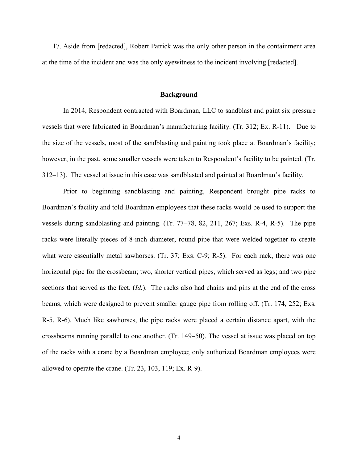17. Aside from [redacted], Robert Patrick was the only other person in the containment area at the time of the incident and was the only eyewitness to the incident involving [redacted].

## **Background**

In 2014, Respondent contracted with Boardman, LLC to sandblast and paint six pressure vessels that were fabricated in Boardman's manufacturing facility. (Tr. 312; Ex. R-11). Due to the size of the vessels, most of the sandblasting and painting took place at Boardman's facility; however, in the past, some smaller vessels were taken to Respondent's facility to be painted. (Tr. 312–13). The vessel at issue in this case was sandblasted and painted at Boardman's facility.

Prior to beginning sandblasting and painting, Respondent brought pipe racks to Boardman's facility and told Boardman employees that these racks would be used to support the vessels during sandblasting and painting. (Tr. 77–78, 82, 211, 267; Exs. R-4, R-5). The pipe racks were literally pieces of 8-inch diameter, round pipe that were welded together to create what were essentially metal sawhorses. (Tr. 37; Exs. C-9; R-5). For each rack, there was one horizontal pipe for the crossbeam; two, shorter vertical pipes, which served as legs; and two pipe sections that served as the feet. (*Id.*). The racks also had chains and pins at the end of the cross beams, which were designed to prevent smaller gauge pipe from rolling off. (Tr. 174, 252; Exs. R-5, R-6). Much like sawhorses, the pipe racks were placed a certain distance apart, with the crossbeams running parallel to one another. (Tr. 149–50). The vessel at issue was placed on top of the racks with a crane by a Boardman employee; only authorized Boardman employees were allowed to operate the crane. (Tr. 23, 103, 119; Ex. R-9).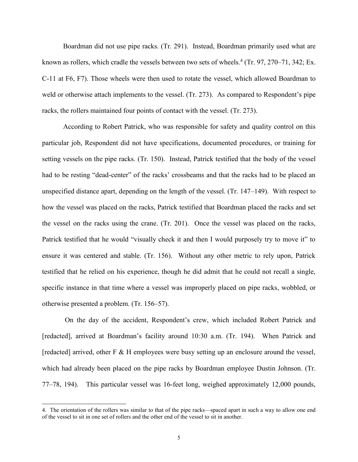Boardman did not use pipe racks. (Tr. 291). Instead, Boardman primarily used what are known as rollers, which cradle the vessels between two sets of wheels.<sup>4</sup> (Tr. 97, 270–71, 342; Ex. C-11 at F6, F7). Those wheels were then used to rotate the vessel, which allowed Boardman to weld or otherwise attach implements to the vessel. (Tr. 273). As compared to Respondent's pipe racks, the rollers maintained four points of contact with the vessel. (Tr. 273).

According to Robert Patrick, who was responsible for safety and quality control on this particular job, Respondent did not have specifications, documented procedures, or training for setting vessels on the pipe racks. (Tr. 150). Instead, Patrick testified that the body of the vessel had to be resting "dead-center" of the racks' crossbeams and that the racks had to be placed an unspecified distance apart, depending on the length of the vessel. (Tr. 147–149). With respect to how the vessel was placed on the racks, Patrick testified that Boardman placed the racks and set the vessel on the racks using the crane. (Tr. 201). Once the vessel was placed on the racks, Patrick testified that he would "visually check it and then I would purposely try to move it" to ensure it was centered and stable. (Tr. 156). Without any other metric to rely upon, Patrick testified that he relied on his experience, though he did admit that he could not recall a single, specific instance in that time where a vessel was improperly placed on pipe racks, wobbled, or otherwise presented a problem. (Tr. 156–57).

On the day of the accident, Respondent's crew, which included Robert Patrick and [redacted], arrived at Boardman's facility around 10:30 a.m. (Tr. 194). When Patrick and [redacted] arrived, other F & H employees were busy setting up an enclosure around the vessel, which had already been placed on the pipe racks by Boardman employee Dustin Johnson. (Tr. 77–78, 194). This particular vessel was 16-feet long, weighed approximately 12,000 pounds,

<sup>4.</sup> The orientation of the rollers was similar to that of the pipe racks—spaced apart in such a way to allow one end of the vessel to sit in one set of rollers and the other end of the vessel to sit in another.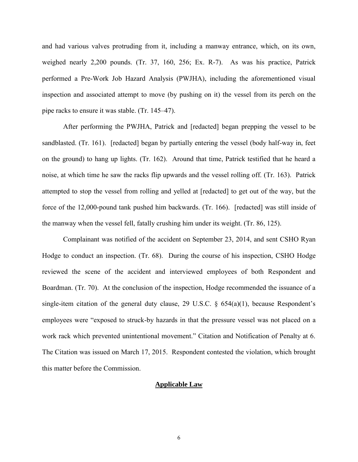and had various valves protruding from it, including a manway entrance, which, on its own, weighed nearly 2,200 pounds. (Tr. 37, 160, 256; Ex. R-7). As was his practice, Patrick performed a Pre-Work Job Hazard Analysis (PWJHA), including the aforementioned visual inspection and associated attempt to move (by pushing on it) the vessel from its perch on the pipe racks to ensure it was stable. (Tr. 145–47).

After performing the PWJHA, Patrick and [redacted] began prepping the vessel to be sandblasted. (Tr. 161). [redacted] began by partially entering the vessel (body half-way in, feet on the ground) to hang up lights. (Tr. 162). Around that time, Patrick testified that he heard a noise, at which time he saw the racks flip upwards and the vessel rolling off. (Tr. 163). Patrick attempted to stop the vessel from rolling and yelled at [redacted] to get out of the way, but the force of the 12,000-pound tank pushed him backwards. (Tr. 166). [redacted] was still inside of the manway when the vessel fell, fatally crushing him under its weight. (Tr. 86, 125).

Complainant was notified of the accident on September 23, 2014, and sent CSHO Ryan Hodge to conduct an inspection. (Tr. 68). During the course of his inspection, CSHO Hodge reviewed the scene of the accident and interviewed employees of both Respondent and Boardman. (Tr. 70). At the conclusion of the inspection, Hodge recommended the issuance of a single-item citation of the general duty clause, 29 U.S.C.  $\S$  654(a)(1), because Respondent's employees were "exposed to struck-by hazards in that the pressure vessel was not placed on a work rack which prevented unintentional movement." Citation and Notification of Penalty at 6. The Citation was issued on March 17, 2015. Respondent contested the violation, which brought this matter before the Commission.

## **Applicable Law**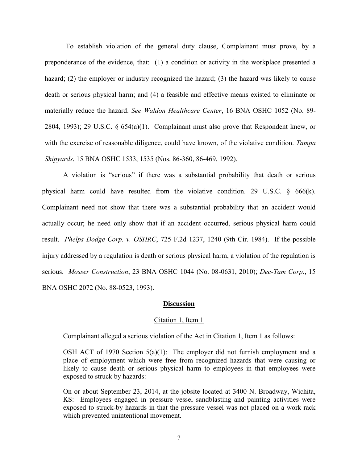To establish violation of the general duty clause, Complainant must prove, by a preponderance of the evidence, that: (1) a condition or activity in the workplace presented a hazard; (2) the employer or industry recognized the hazard; (3) the hazard was likely to cause death or serious physical harm; and (4) a feasible and effective means existed to eliminate or materially reduce the hazard. *See Waldon Healthcare Center*, 16 BNA OSHC 1052 (No. 89- 2804, 1993); 29 U.S.C. § 654(a)(1). Complainant must also prove that Respondent knew, or with the exercise of reasonable diligence, could have known, of the violative condition. *Tampa Shipyards*, 15 BNA OSHC 1533, 1535 (Nos. 86-360, 86-469, 1992).

A violation is "serious" if there was a substantial probability that death or serious physical harm could have resulted from the violative condition. 29 U.S.C. § 666(k). Complainant need not show that there was a substantial probability that an accident would actually occur; he need only show that if an accident occurred, serious physical harm could result. *Phelps Dodge Corp. v. OSHRC*, 725 F.2d 1237, 1240 (9th Cir. 1984). If the possible injury addressed by a regulation is death or serious physical harm, a violation of the regulation is serious. *Mosser Construction*, 23 BNA OSHC 1044 (No. 08-0631, 2010); *Dec-Tam Corp*., 15 BNA OSHC 2072 (No. 88-0523, 1993).

## **Discussion**

## Citation 1, Item 1

Complainant alleged a serious violation of the Act in Citation 1, Item 1 as follows:

OSH ACT of 1970 Section  $5(a)(1)$ : The employer did not furnish employment and a place of employment which were free from recognized hazards that were causing or likely to cause death or serious physical harm to employees in that employees were exposed to struck by hazards:

On or about September 23, 2014, at the jobsite located at 3400 N. Broadway, Wichita, KS: Employees engaged in pressure vessel sandblasting and painting activities were exposed to struck-by hazards in that the pressure vessel was not placed on a work rack which prevented unintentional movement.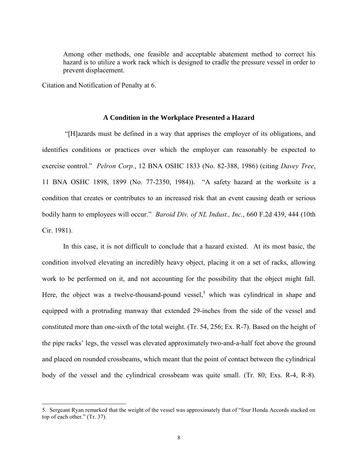Among other methods, one feasible and acceptable abatement method to correct his hazard is to utilize a work rack which is designed to cradle the pressure vessel in order to prevent displacement.

Citation and Notification of Penalty at 6.

 $\overline{a}$ 

#### **A Condition in the Workplace Presented a Hazard**

"[H]azards must be defined in a way that apprises the employer of its obligations, and identifies conditions or practices over which the employer can reasonably be expected to exercise control." *Pelron Corp.*, 12 BNA OSHC 1833 (No. 82-388, 1986) (citing *Davey Tree*, 11 BNA OSHC 1898, 1899 (No. 77-2350, 1984)). "A safety hazard at the worksite is a condition that creates or contributes to an increased risk that an event causing death or serious bodily harm to employees will occur." *Baroid Div. of NL Indust., Inc.*, 660 F.2d 439, 444 (10th Cir. 1981).

In this case, it is not difficult to conclude that a hazard existed. At its most basic, the condition involved elevating an incredibly heavy object, placing it on a set of racks, allowing work to be performed on it, and not accounting for the possibility that the object might fall. Here, the object was a twelve-thousand-pound vessel,<sup>5</sup> which was cylindrical in shape and equipped with a protruding manway that extended 29-inches from the side of the vessel and constituted more than one-sixth of the total weight. (Tr. 54, 256; Ex. R-7). Based on the height of the pipe racks' legs, the vessel was elevated approximately two-and-a-half feet above the ground and placed on rounded crossbeams, which meant that the point of contact between the cylindrical body of the vessel and the cylindrical crossbeam was quite small. (Tr. 80; Exs. R-4, R-8).

<sup>5.</sup> Sergeant Ryan remarked that the weight of the vessel was approximately that of "four Honda Accords stacked on top of each other." (Tr. 37).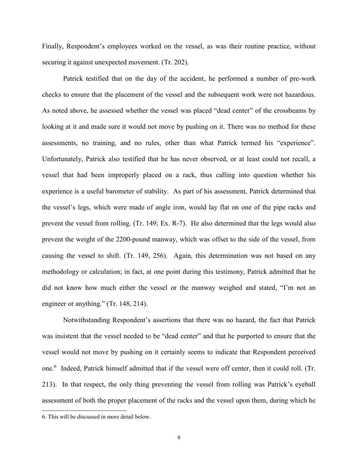Finally, Respondent's employees worked on the vessel, as was their routine practice, without securing it against unexpected movement. (Tr. 202).

Patrick testified that on the day of the accident, he performed a number of pre-work checks to ensure that the placement of the vessel and the subsequent work were not hazardous. As noted above, he assessed whether the vessel was placed "dead center" of the crossbeams by looking at it and made sure it would not move by pushing on it. There was no method for these assessments, no training, and no rules, other than what Patrick termed his "experience". Unfortunately, Patrick also testified that he has never observed, or at least could not recall, a vessel that had been improperly placed on a rack, thus calling into question whether his experience is a useful barometer of stability. As part of his assessment, Patrick determined that the vessel's legs, which were made of angle iron, would lay flat on one of the pipe racks and prevent the vessel from rolling. (Tr. 149; Ex. R-7). He also determined that the legs would also prevent the weight of the 2200-pound manway, which was offset to the side of the vessel, from causing the vessel to shift. (Tr. 149, 256). Again, this determination was not based on any methodology or calculation; in fact, at one point during this testimony, Patrick admitted that he did not know how much either the vessel or the manway weighed and stated, "I'm not an engineer or anything." (Tr. 148, 214).

Notwithstanding Respondent's assertions that there was no hazard, the fact that Patrick was insistent that the vessel needed to be "dead center" and that he purported to ensure that the vessel would not move by pushing on it certainly seems to indicate that Respondent perceived one. 6 Indeed, Patrick himself admitted that if the vessel were off center, then it could roll. (Tr. 213). In that respect, the only thing preventing the vessel from rolling was Patrick's eyeball assessment of both the proper placement of the racks and the vessel upon them, during which he

<sup>6.</sup> This will be discussed in more detail below.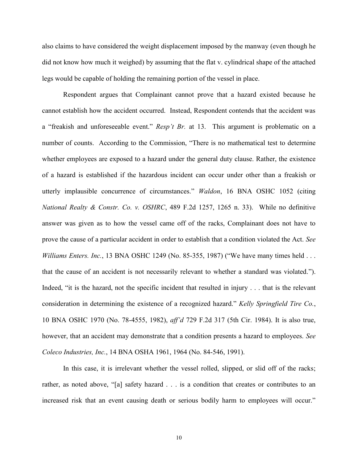also claims to have considered the weight displacement imposed by the manway (even though he did not know how much it weighed) by assuming that the flat v. cylindrical shape of the attached legs would be capable of holding the remaining portion of the vessel in place.

Respondent argues that Complainant cannot prove that a hazard existed because he cannot establish how the accident occurred. Instead, Respondent contends that the accident was a "freakish and unforeseeable event." *Resp't Br.* at 13. This argument is problematic on a number of counts. According to the Commission, "There is no mathematical test to determine whether employees are exposed to a hazard under the general duty clause. Rather, the existence of a hazard is established if the hazardous incident can occur under other than a freakish or utterly implausible concurrence of circumstances." *Waldon*, 16 BNA OSHC 1052 (citing *National Realty & Constr. Co. v. OSHRC*, 489 F.2d 1257, 1265 n. 33). While no definitive answer was given as to how the vessel came off of the racks, Complainant does not have to prove the cause of a particular accident in order to establish that a condition violated the Act. *See Williams Enters. Inc.*, 13 BNA OSHC 1249 (No. 85-355, 1987) ("We have many times held . . . that the cause of an accident is not necessarily relevant to whether a standard was violated."). Indeed, "it is the hazard, not the specific incident that resulted in injury . . . that is the relevant consideration in determining the existence of a recognized hazard." *Kelly Springfield Tire Co.*, 10 BNA OSHC 1970 (No. 78-4555, 1982), *aff'd* 729 F.2d 317 (5th Cir. 1984). It is also true, however, that an accident may demonstrate that a condition presents a hazard to employees. *See Coleco Industries, Inc.*, 14 BNA OSHA 1961, 1964 (No. 84-546, 1991).

In this case, it is irrelevant whether the vessel rolled, slipped, or slid off of the racks; rather, as noted above, "[a] safety hazard . . . is a condition that creates or contributes to an increased risk that an event causing death or serious bodily harm to employees will occur."

10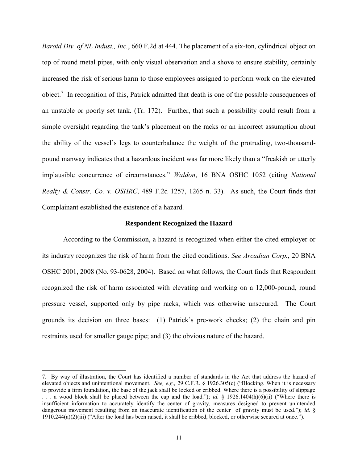*Baroid Div. of NL Indust., Inc.*, 660 F.2d at 444. The placement of a six-ton, cylindrical object on top of round metal pipes, with only visual observation and a shove to ensure stability, certainly increased the risk of serious harm to those employees assigned to perform work on the elevated object.<sup>7</sup> In recognition of this, Patrick admitted that death is one of the possible consequences of an unstable or poorly set tank. (Tr. 172). Further, that such a possibility could result from a simple oversight regarding the tank's placement on the racks or an incorrect assumption about the ability of the vessel's legs to counterbalance the weight of the protruding, two-thousandpound manway indicates that a hazardous incident was far more likely than a "freakish or utterly implausible concurrence of circumstances." *Waldon*, 16 BNA OSHC 1052 (citing *National Realty & Constr. Co. v. OSHRC*, 489 F.2d 1257, 1265 n. 33). As such, the Court finds that Complainant established the existence of a hazard.

#### **Respondent Recognized the Hazard**

According to the Commission, a hazard is recognized when either the cited employer or its industry recognizes the risk of harm from the cited conditions. *See Arcadian Corp.*, 20 BNA OSHC 2001, 2008 (No. 93-0628, 2004). Based on what follows, the Court finds that Respondent recognized the risk of harm associated with elevating and working on a 12,000-pound, round pressure vessel, supported only by pipe racks, which was otherwise unsecured. The Court grounds its decision on three bases: (1) Patrick's pre-work checks; (2) the chain and pin restraints used for smaller gauge pipe; and (3) the obvious nature of the hazard.

<sup>7.</sup> By way of illustration, the Court has identified a number of standards in the Act that address the hazard of elevated objects and unintentional movement. *See, e.g.,* 29 C.F.R. § 1926.305(c) ("Blocking. When it is necessary to provide a firm foundation, the base of the jack shall be locked or cribbed. Where there is a possibility of slippage . . . a wood block shall be placed between the cap and the load."); *id.* § 1926.1404(h)(6)(ii) ("Where there is insufficient information to accurately identify the center of gravity, measures designed to prevent unintended dangerous movement resulting from an inaccurate identification of the center of gravity must be used."); *id.* § 1910.244(a)(2)(iii) ("After the load has been raised, it shall be cribbed, blocked, or otherwise secured at once.").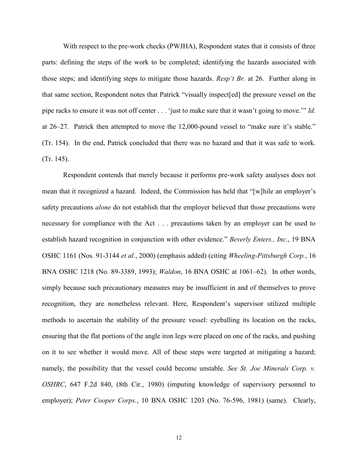With respect to the pre-work checks (PWJHA), Respondent states that it consists of three parts: defining the steps of the work to be completed; identifying the hazards associated with those steps; and identifying steps to mitigate those hazards. *Resp't Br.* at 26. Further along in that same section, Respondent notes that Patrick "visually inspect[ed] the pressure vessel on the pipe racks to ensure it was not off center . . . 'just to make sure that it wasn't going to move.'" *Id.* at 26–27. Patrick then attempted to move the 12,000-pound vessel to "make sure it's stable." (Tr. 154). In the end, Patrick concluded that there was no hazard and that it was safe to work. (Tr. 145).

Respondent contends that merely because it performs pre-work safety analyses does not mean that it recognized a hazard. Indeed, the Commission has held that "[w]hile an employer's safety precautions *alone* do not establish that the employer believed that those precautions were necessary for compliance with the Act . . . precautions taken by an employer can be used to establish hazard recognition in conjunction with other evidence." *Beverly Enters., Inc.*, 19 BNA OSHC 1161 (Nos. 91-3144 *et al.*, 2000) (emphasis added) (citing *Wheeling-Pittsburgh Corp.*, 16 BNA OSHC 1218 (No. 89-3389, 1993); *Waldon*, 16 BNA OSHC at 1061–62). In other words, simply because such precautionary measures may be insufficient in and of themselves to prove recognition, they are nonetheless relevant. Here, Respondent's supervisor utilized multiple methods to ascertain the stability of the pressure vessel: eyeballing its location on the racks, ensuring that the flat portions of the angle iron legs were placed on one of the racks, and pushing on it to see whether it would move. All of these steps were targeted at mitigating a hazard; namely, the possibility that the vessel could become unstable. *See St. Joe Minerals Corp. v. OSHRC*, 647 F.2d 840, (8th Cir., 1980) (imputing knowledge of supervisory personnel to employer); *Peter Cooper Corps.*, 10 BNA OSHC 1203 (No. 76-596, 1981) (same). Clearly,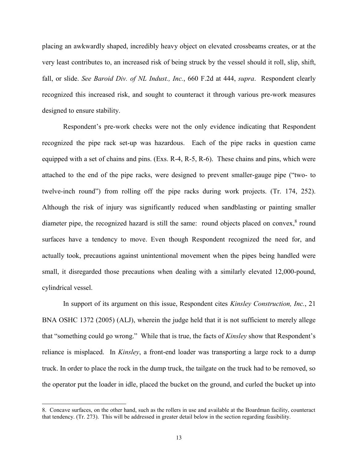placing an awkwardly shaped, incredibly heavy object on elevated crossbeams creates, or at the very least contributes to, an increased risk of being struck by the vessel should it roll, slip, shift, fall, or slide. *See Baroid Div. of NL Indust., Inc.*, 660 F.2d at 444, *supra*. Respondent clearly recognized this increased risk, and sought to counteract it through various pre-work measures designed to ensure stability.

Respondent's pre-work checks were not the only evidence indicating that Respondent recognized the pipe rack set-up was hazardous. Each of the pipe racks in question came equipped with a set of chains and pins. (Exs. R-4, R-5, R-6). These chains and pins, which were attached to the end of the pipe racks, were designed to prevent smaller-gauge pipe ("two- to twelve-inch round") from rolling off the pipe racks during work projects. (Tr. 174, 252). Although the risk of injury was significantly reduced when sandblasting or painting smaller diameter pipe, the recognized hazard is still the same: round objects placed on convex,<sup>8</sup> round surfaces have a tendency to move. Even though Respondent recognized the need for, and actually took, precautions against unintentional movement when the pipes being handled were small, it disregarded those precautions when dealing with a similarly elevated 12,000-pound, cylindrical vessel.

In support of its argument on this issue, Respondent cites *Kinsley Construction, Inc.*, 21 BNA OSHC 1372 (2005) (ALJ), wherein the judge held that it is not sufficient to merely allege that "something could go wrong." While that is true, the facts of *Kinsley* show that Respondent's reliance is misplaced. In *Kinsley*, a front-end loader was transporting a large rock to a dump truck. In order to place the rock in the dump truck, the tailgate on the truck had to be removed, so the operator put the loader in idle, placed the bucket on the ground, and curled the bucket up into

<sup>8.</sup> Concave surfaces, on the other hand, such as the rollers in use and available at the Boardman facility, counteract that tendency. (Tr. 273). This will be addressed in greater detail below in the section regarding feasibility.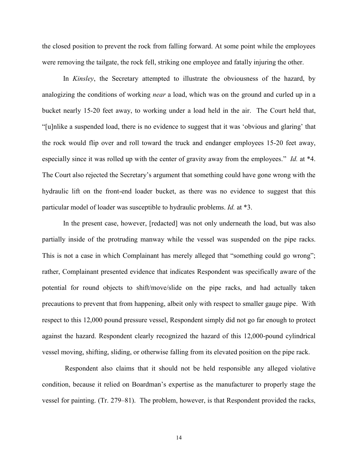the closed position to prevent the rock from falling forward. At some point while the employees were removing the tailgate, the rock fell, striking one employee and fatally injuring the other.

In *Kinsley*, the Secretary attempted to illustrate the obviousness of the hazard, by analogizing the conditions of working *near* a load, which was on the ground and curled up in a bucket nearly 15-20 feet away, to working under a load held in the air. The Court held that, "[u]nlike a suspended load, there is no evidence to suggest that it was 'obvious and glaring' that the rock would flip over and roll toward the truck and endanger employees 15-20 feet away, especially since it was rolled up with the center of gravity away from the employees." *Id.* at \*4. The Court also rejected the Secretary's argument that something could have gone wrong with the hydraulic lift on the front-end loader bucket, as there was no evidence to suggest that this particular model of loader was susceptible to hydraulic problems. *Id.* at \*3.

In the present case, however, [redacted] was not only underneath the load, but was also partially inside of the protruding manway while the vessel was suspended on the pipe racks. This is not a case in which Complainant has merely alleged that "something could go wrong"; rather, Complainant presented evidence that indicates Respondent was specifically aware of the potential for round objects to shift/move/slide on the pipe racks, and had actually taken precautions to prevent that from happening, albeit only with respect to smaller gauge pipe. With respect to this 12,000 pound pressure vessel, Respondent simply did not go far enough to protect against the hazard. Respondent clearly recognized the hazard of this 12,000-pound cylindrical vessel moving, shifting, sliding, or otherwise falling from its elevated position on the pipe rack.

Respondent also claims that it should not be held responsible any alleged violative condition, because it relied on Boardman's expertise as the manufacturer to properly stage the vessel for painting. (Tr. 279–81). The problem, however, is that Respondent provided the racks,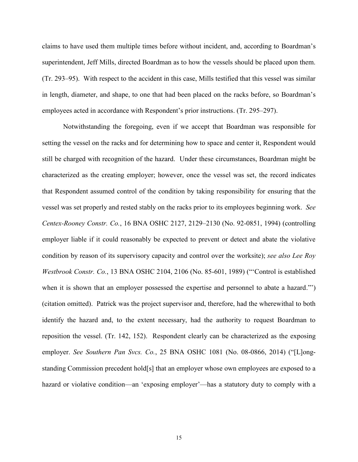claims to have used them multiple times before without incident, and, according to Boardman's superintendent, Jeff Mills, directed Boardman as to how the vessels should be placed upon them. (Tr. 293–95). With respect to the accident in this case, Mills testified that this vessel was similar in length, diameter, and shape, to one that had been placed on the racks before, so Boardman's employees acted in accordance with Respondent's prior instructions. (Tr. 295–297).

Notwithstanding the foregoing, even if we accept that Boardman was responsible for setting the vessel on the racks and for determining how to space and center it, Respondent would still be charged with recognition of the hazard. Under these circumstances, Boardman might be characterized as the creating employer; however, once the vessel was set, the record indicates that Respondent assumed control of the condition by taking responsibility for ensuring that the vessel was set properly and rested stably on the racks prior to its employees beginning work. *See Centex-Rooney Constr. Co.*, 16 BNA OSHC 2127, 2129–2130 (No. 92-0851, 1994) (controlling employer liable if it could reasonably be expected to prevent or detect and abate the violative condition by reason of its supervisory capacity and control over the worksite); *see also Lee Roy Westbrook Constr. Co.*, 13 BNA OSHC 2104, 2106 (No. 85-601, 1989) ("'Control is established when it is shown that an employer possessed the expertise and personnel to abate a hazard." (citation omitted). Patrick was the project supervisor and, therefore, had the wherewithal to both identify the hazard and, to the extent necessary, had the authority to request Boardman to reposition the vessel. (Tr. 142, 152). Respondent clearly can be characterized as the exposing employer. *See Southern Pan Svcs. Co.*, 25 BNA OSHC 1081 (No. 08-0866, 2014) ("[L]ongstanding Commission precedent hold[s] that an employer whose own employees are exposed to a hazard or violative condition—an 'exposing employer'—has a statutory duty to comply with a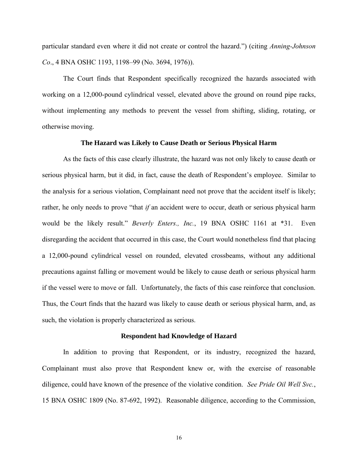particular standard even where it did not create or control the hazard.") (citing *Anning-Johnson Co*., 4 BNA OSHC 1193, 1198–99 (No. 3694, 1976)).

The Court finds that Respondent specifically recognized the hazards associated with working on a 12,000-pound cylindrical vessel, elevated above the ground on round pipe racks, without implementing any methods to prevent the vessel from shifting, sliding, rotating, or otherwise moving.

## **The Hazard was Likely to Cause Death or Serious Physical Harm**

As the facts of this case clearly illustrate, the hazard was not only likely to cause death or serious physical harm, but it did, in fact, cause the death of Respondent's employee. Similar to the analysis for a serious violation, Complainant need not prove that the accident itself is likely; rather, he only needs to prove "that *if* an accident were to occur, death or serious physical harm would be the likely result." *Beverly Enters., Inc.*, 19 BNA OSHC 1161 at \*31. Even disregarding the accident that occurred in this case, the Court would nonetheless find that placing a 12,000-pound cylindrical vessel on rounded, elevated crossbeams, without any additional precautions against falling or movement would be likely to cause death or serious physical harm if the vessel were to move or fall. Unfortunately, the facts of this case reinforce that conclusion. Thus, the Court finds that the hazard was likely to cause death or serious physical harm, and, as such, the violation is properly characterized as serious.

#### **Respondent had Knowledge of Hazard**

In addition to proving that Respondent, or its industry, recognized the hazard, Complainant must also prove that Respondent knew or, with the exercise of reasonable diligence, could have known of the presence of the violative condition. *See Pride Oil Well Svc.*, 15 BNA OSHC 1809 (No. 87-692, 1992). Reasonable diligence, according to the Commission,

16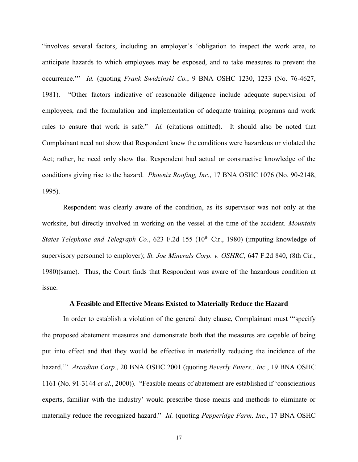"involves several factors, including an employer's 'obligation to inspect the work area, to anticipate hazards to which employees may be exposed, and to take measures to prevent the occurrence.'" *Id.* (quoting *Frank Swidzinski Co.*, 9 BNA OSHC 1230, 1233 (No. 76-4627, 1981). "Other factors indicative of reasonable diligence include adequate supervision of employees, and the formulation and implementation of adequate training programs and work rules to ensure that work is safe." *Id.* (citations omitted). It should also be noted that Complainant need not show that Respondent knew the conditions were hazardous or violated the Act; rather, he need only show that Respondent had actual or constructive knowledge of the conditions giving rise to the hazard. *Phoenix Roofing, Inc.*, 17 BNA OSHC 1076 (No. 90-2148, 1995).

Respondent was clearly aware of the condition, as its supervisor was not only at the worksite, but directly involved in working on the vessel at the time of the accident. *Mountain States Telephone and Telegraph Co.*, 623 F.2d 155 (10<sup>th</sup> Cir., 1980) (imputing knowledge of supervisory personnel to employer); *St. Joe Minerals Corp. v. OSHRC*, 647 F.2d 840, (8th Cir., 1980)(same). Thus, the Court finds that Respondent was aware of the hazardous condition at issue.

## **A Feasible and Effective Means Existed to Materially Reduce the Hazard**

In order to establish a violation of the general duty clause, Complainant must "'specify the proposed abatement measures and demonstrate both that the measures are capable of being put into effect and that they would be effective in materially reducing the incidence of the hazard.'" *Arcadian Corp.*, 20 BNA OSHC 2001 (quoting *Beverly Enters., Inc.*, 19 BNA OSHC 1161 (No. 91-3144 *et al.*, 2000)). "Feasible means of abatement are established if 'conscientious experts, familiar with the industry' would prescribe those means and methods to eliminate or materially reduce the recognized hazard." *Id.* (quoting *Pepperidge Farm, Inc.*, 17 BNA OSHC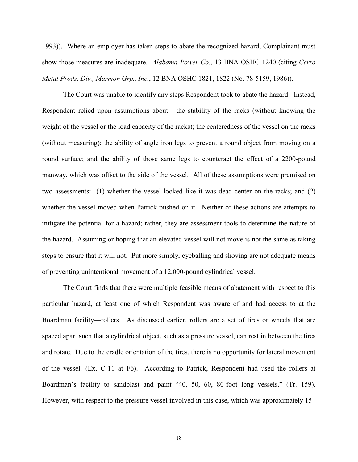1993)). Where an employer has taken steps to abate the recognized hazard, Complainant must show those measures are inadequate. *Alabama Power Co.*, 13 BNA OSHC 1240 (citing *Cerro Metal Prods. Div., Marmon Grp., Inc.*, 12 BNA OSHC 1821, 1822 (No. 78-5159, 1986)).

The Court was unable to identify any steps Respondent took to abate the hazard. Instead, Respondent relied upon assumptions about: the stability of the racks (without knowing the weight of the vessel or the load capacity of the racks); the centeredness of the vessel on the racks (without measuring); the ability of angle iron legs to prevent a round object from moving on a round surface; and the ability of those same legs to counteract the effect of a 2200-pound manway, which was offset to the side of the vessel. All of these assumptions were premised on two assessments: (1) whether the vessel looked like it was dead center on the racks; and (2) whether the vessel moved when Patrick pushed on it. Neither of these actions are attempts to mitigate the potential for a hazard; rather, they are assessment tools to determine the nature of the hazard. Assuming or hoping that an elevated vessel will not move is not the same as taking steps to ensure that it will not. Put more simply, eyeballing and shoving are not adequate means of preventing unintentional movement of a 12,000-pound cylindrical vessel.

The Court finds that there were multiple feasible means of abatement with respect to this particular hazard, at least one of which Respondent was aware of and had access to at the Boardman facility—rollers. As discussed earlier, rollers are a set of tires or wheels that are spaced apart such that a cylindrical object, such as a pressure vessel, can rest in between the tires and rotate. Due to the cradle orientation of the tires, there is no opportunity for lateral movement of the vessel. (Ex. C-11 at F6). According to Patrick, Respondent had used the rollers at Boardman's facility to sandblast and paint "40, 50, 60, 80-foot long vessels." (Tr. 159). However, with respect to the pressure vessel involved in this case, which was approximately 15–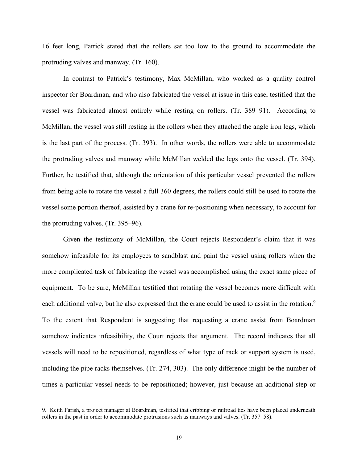16 feet long, Patrick stated that the rollers sat too low to the ground to accommodate the protruding valves and manway. (Tr. 160).

In contrast to Patrick's testimony, Max McMillan, who worked as a quality control inspector for Boardman, and who also fabricated the vessel at issue in this case, testified that the vessel was fabricated almost entirely while resting on rollers. (Tr. 389–91). According to McMillan, the vessel was still resting in the rollers when they attached the angle iron legs, which is the last part of the process. (Tr. 393). In other words, the rollers were able to accommodate the protruding valves and manway while McMillan welded the legs onto the vessel. (Tr. 394). Further, he testified that, although the orientation of this particular vessel prevented the rollers from being able to rotate the vessel a full 360 degrees, the rollers could still be used to rotate the vessel some portion thereof, assisted by a crane for re-positioning when necessary, to account for the protruding valves. (Tr. 395–96).

Given the testimony of McMillan, the Court rejects Respondent's claim that it was somehow infeasible for its employees to sandblast and paint the vessel using rollers when the more complicated task of fabricating the vessel was accomplished using the exact same piece of equipment. To be sure, McMillan testified that rotating the vessel becomes more difficult with each additional valve, but he also expressed that the crane could be used to assist in the rotation.<sup>9</sup> To the extent that Respondent is suggesting that requesting a crane assist from Boardman somehow indicates infeasibility, the Court rejects that argument. The record indicates that all vessels will need to be repositioned, regardless of what type of rack or support system is used, including the pipe racks themselves. (Tr. 274, 303). The only difference might be the number of times a particular vessel needs to be repositioned; however, just because an additional step or

<sup>9.</sup> Keith Farish, a project manager at Boardman, testified that cribbing or railroad ties have been placed underneath rollers in the past in order to accommodate protrusions such as manways and valves. (Tr. 357–58).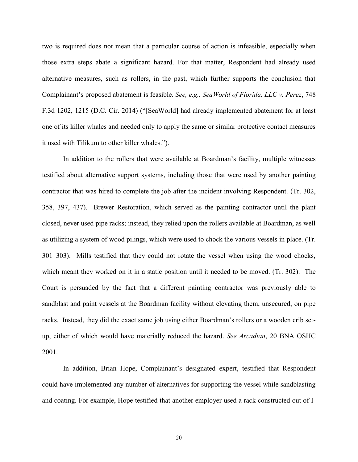two is required does not mean that a particular course of action is infeasible, especially when those extra steps abate a significant hazard. For that matter, Respondent had already used alternative measures, such as rollers, in the past, which further supports the conclusion that Complainant's proposed abatement is feasible. *See, e.g., SeaWorld of Florida, LLC v. Perez*, 748 F.3d 1202, 1215 (D.C. Cir. 2014) ("[SeaWorld] had already implemented abatement for at least one of its killer whales and needed only to apply the same or similar protective contact measures it used with Tilikum to other killer whales.").

In addition to the rollers that were available at Boardman's facility, multiple witnesses testified about alternative support systems, including those that were used by another painting contractor that was hired to complete the job after the incident involving Respondent. (Tr. 302, 358, 397, 437). Brewer Restoration, which served as the painting contractor until the plant closed, never used pipe racks; instead, they relied upon the rollers available at Boardman, as well as utilizing a system of wood pilings, which were used to chock the various vessels in place. (Tr. 301–303). Mills testified that they could not rotate the vessel when using the wood chocks, which meant they worked on it in a static position until it needed to be moved. (Tr. 302). The Court is persuaded by the fact that a different painting contractor was previously able to sandblast and paint vessels at the Boardman facility without elevating them, unsecured, on pipe racks. Instead, they did the exact same job using either Boardman's rollers or a wooden crib setup, either of which would have materially reduced the hazard. *See Arcadian*, 20 BNA OSHC 2001.

In addition, Brian Hope, Complainant's designated expert, testified that Respondent could have implemented any number of alternatives for supporting the vessel while sandblasting and coating. For example, Hope testified that another employer used a rack constructed out of I-

20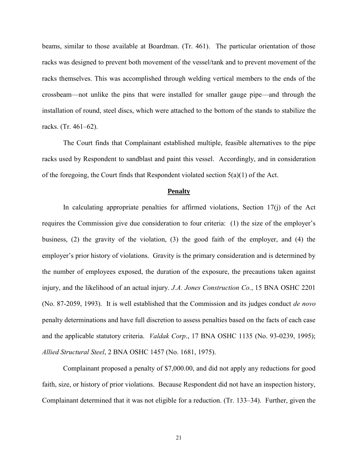beams, similar to those available at Boardman. (Tr. 461). The particular orientation of those racks was designed to prevent both movement of the vessel/tank and to prevent movement of the racks themselves. This was accomplished through welding vertical members to the ends of the crossbeam—not unlike the pins that were installed for smaller gauge pipe—and through the installation of round, steel discs, which were attached to the bottom of the stands to stabilize the racks. (Tr. 461–62).

The Court finds that Complainant established multiple, feasible alternatives to the pipe racks used by Respondent to sandblast and paint this vessel. Accordingly, and in consideration of the foregoing, the Court finds that Respondent violated section 5(a)(1) of the Act.

#### **Penalty**

In calculating appropriate penalties for affirmed violations, Section 17(j) of the Act requires the Commission give due consideration to four criteria: (1) the size of the employer's business, (2) the gravity of the violation, (3) the good faith of the employer, and (4) the employer's prior history of violations. Gravity is the primary consideration and is determined by the number of employees exposed, the duration of the exposure, the precautions taken against injury, and the likelihood of an actual injury. *J.A. Jones Construction Co.*, 15 BNA OSHC 2201 (No. 87-2059, 1993). It is well established that the Commission and its judges conduct *de novo* penalty determinations and have full discretion to assess penalties based on the facts of each case and the applicable statutory criteria. *Valdak Corp*., 17 BNA OSHC 1135 (No. 93-0239, 1995); *Allied Structural Steel*, 2 BNA OSHC 1457 (No. 1681, 1975).

Complainant proposed a penalty of \$7,000.00, and did not apply any reductions for good faith, size, or history of prior violations. Because Respondent did not have an inspection history, Complainant determined that it was not eligible for a reduction. (Tr. 133–34). Further, given the